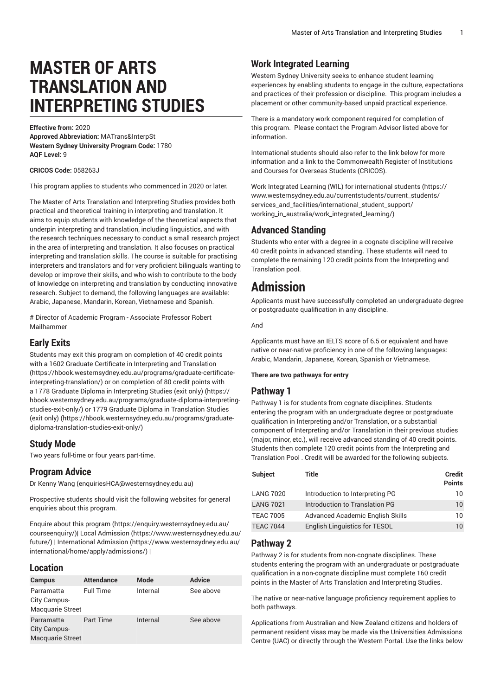# **MASTER OF ARTS TRANSLATION AND INTERPRETING STUDIES**

**Effective from:** 2020 **Approved Abbreviation:** MATrans&InterpSt **Western Sydney University Program Code:** 1780 **AQF Level:** 9

**CRICOS Code:** 058263J

This program applies to students who commenced in 2020 or later.

The Master of Arts Translation and Interpreting Studies provides both practical and theoretical training in interpreting and translation. It aims to equip students with knowledge of the theoretical aspects that underpin interpreting and translation, including linguistics, and with the research techniques necessary to conduct a small research project in the area of interpreting and translation. It also focuses on practical interpreting and translation skills. The course is suitable for practising interpreters and translators and for very proficient bilinguals wanting to develop or improve their skills, and who wish to contribute to the body of knowledge on interpreting and translation by conducting innovative research. Subject to demand, the following languages are available: Arabic, Japanese, Mandarin, Korean, Vietnamese and Spanish.

# Director of Academic Program - Associate Professor Robert Mailhammer

### **Early Exits**

Students may exit this program on completion of 40 credit points with a 1602 Graduate Certificate in [Interpreting](https://hbook.westernsydney.edu.au/programs/graduate-certificate-interpreting-translation/) and Translation ([https://hbook.westernsydney.edu.au/programs/graduate-certificate](https://hbook.westernsydney.edu.au/programs/graduate-certificate-interpreting-translation/)[interpreting-translation/\)](https://hbook.westernsydney.edu.au/programs/graduate-certificate-interpreting-translation/) or on completion of 80 credit points with a 1778 Graduate Diploma in [Interpreting](https://hbook.westernsydney.edu.au/programs/graduate-diploma-interpreting-studies-exit-only/) Studies (exit only) ([https://](https://hbook.westernsydney.edu.au/programs/graduate-diploma-interpreting-studies-exit-only/) [hbook.westernsydney.edu.au/programs/graduate-diploma-interpreting](https://hbook.westernsydney.edu.au/programs/graduate-diploma-interpreting-studies-exit-only/)[studies-exit-only/](https://hbook.westernsydney.edu.au/programs/graduate-diploma-interpreting-studies-exit-only/)) or 1779 Graduate Diploma in [Translation](https://hbook.westernsydney.edu.au/programs/graduate-diploma-translation-studies-exit-only/) Studies [\(exit only\)](https://hbook.westernsydney.edu.au/programs/graduate-diploma-translation-studies-exit-only/) [\(https://hbook.westernsydney.edu.au/programs/graduate](https://hbook.westernsydney.edu.au/programs/graduate-diploma-translation-studies-exit-only/)[diploma-translation-studies-exit-only/\)](https://hbook.westernsydney.edu.au/programs/graduate-diploma-translation-studies-exit-only/)

### **Study Mode**

Two years full-time or four years part-time.

#### **Program Advice**

Dr [Kenny](mailto:enquiriesHCA@westernsydney.edu.au) Wang [\(enquiriesHCA@westernsydney.edu.au\)](enquiriesHCA@westernsydney.edu.au)

Prospective students should visit the following websites for general enquiries about this program.

Enquire about this [program \(https://enquiry.westernsydney.edu.au/](https://enquiry.westernsydney.edu.au/courseenquiry/) [courseenquiry/](https://enquiry.westernsydney.edu.au/courseenquiry/))| [Local Admission \(https://www.westernsydney.edu.au/](https://www.westernsydney.edu.au/future/) [future/\)](https://www.westernsydney.edu.au/future/) | [International Admission](https://www.westernsydney.edu.au/international/home/apply/admissions/) ([https://www.westernsydney.edu.au/](https://www.westernsydney.edu.au/international/home/apply/admissions/) [international/home/apply/admissions/](https://www.westernsydney.edu.au/international/home/apply/admissions/)) |

#### **Location**

| <b>Campus</b>                                         | <b>Attendance</b> | Mode     | <b>Advice</b> |
|-------------------------------------------------------|-------------------|----------|---------------|
| Parramatta<br>City Campus-<br><b>Macquarie Street</b> | <b>Full Time</b>  | Internal | See above     |
| Parramatta<br>City Campus-<br><b>Macquarie Street</b> | Part Time         | Internal | See above     |

### **Work Integrated Learning**

Western Sydney University seeks to enhance student learning experiences by enabling students to engage in the culture, expectations and practices of their profession or discipline. This program includes a placement or other community-based unpaid practical experience.

There is a mandatory work component required for completion of this program. Please contact the Program Advisor listed above for information.

International students should also refer to the link below for more information and a link to the Commonwealth Register of Institutions and Courses for Overseas Students (CRICOS).

Work Integrated Learning (WIL) for [international](https://www.westernsydney.edu.au/currentstudents/current_students/services_and_facilities/international_student_support/working_in_australia/work_integrated_learning/) students ([https://](https://www.westernsydney.edu.au/currentstudents/current_students/services_and_facilities/international_student_support/working_in_australia/work_integrated_learning/) [www.westernsydney.edu.au/currentstudents/current\\_students/](https://www.westernsydney.edu.au/currentstudents/current_students/services_and_facilities/international_student_support/working_in_australia/work_integrated_learning/) [services\\_and\\_facilities/international\\_student\\_support/](https://www.westernsydney.edu.au/currentstudents/current_students/services_and_facilities/international_student_support/working_in_australia/work_integrated_learning/) [working\\_in\\_australia/work\\_integrated\\_learning/](https://www.westernsydney.edu.au/currentstudents/current_students/services_and_facilities/international_student_support/working_in_australia/work_integrated_learning/))

#### **Advanced Standing**

Students who enter with a degree in a cognate discipline will receive 40 credit points in advanced standing. These students will need to complete the remaining 120 credit points from the Interpreting and Translation pool.

# **Admission**

Applicants must have successfully completed an undergraduate degree or postgraduate qualification in any discipline.

And

Applicants must have an IELTS score of 6.5 or equivalent and have native or near-native proficiency in one of the following languages: Arabic, Mandarin, Japanese, Korean, Spanish or Vietnamese.

#### **There are two pathways for entry**

#### **Pathway 1**

Pathway 1 is for students from cognate disciplines. Students entering the program with an undergraduate degree or postgraduate qualification in Interpreting and/or Translation, or a substantial component of Interpreting and/or Translation in their previous studies (major, minor, etc.), will receive advanced standing of 40 credit points. Students then complete 120 credit points from the Interpreting and Translation Pool . Credit will be awarded for the following subjects.

| <b>Subject</b>   | Title                            | Credit<br><b>Points</b> |
|------------------|----------------------------------|-------------------------|
| <b>LANG 7020</b> | Introduction to Interpreting PG  | 10                      |
| <b>LANG 7021</b> | Introduction to Translation PG   | $10^{\circ}$            |
| <b>TEAC 7005</b> | Advanced Academic English Skills | 10                      |
| <b>TEAC 7044</b> | English Linguistics for TESOL    | $10^{\circ}$            |

#### **Pathway 2**

Pathway 2 is for students from non-cognate disciplines. These students entering the program with an undergraduate or postgraduate qualification in a non-cognate discipline must complete 160 credit points in the Master of Arts Translation and Interpreting Studies.

The native or near-native language proficiency requirement applies to both pathways.

Applications from Australian and New Zealand citizens and holders of permanent resident visas may be made via the Universities Admissions Centre (UAC) or directly through the Western Portal. Use the links below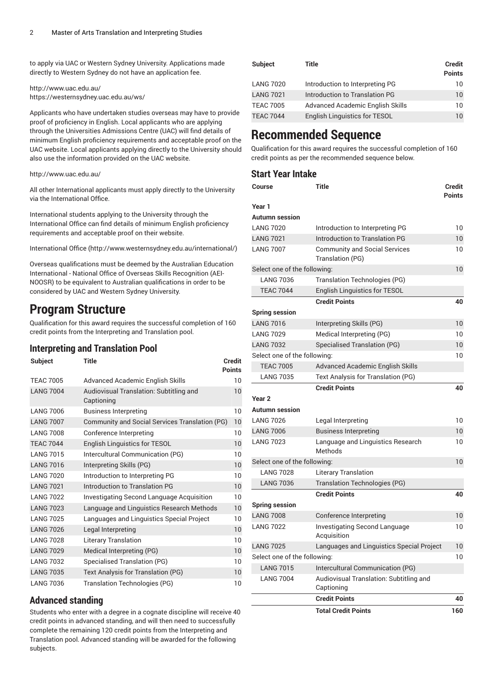to apply via UAC or Western Sydney University. Applications made directly to Western Sydney do not have an application fee.

<http://www.uac.edu.au/> <https://westernsydney.uac.edu.au/ws/>

Applicants who have undertaken studies overseas may have to provide proof of proficiency in English. Local applicants who are applying through the Universities Admissions Centre (UAC) will find details of minimum English proficiency requirements and acceptable proof on the UAC website. Local applicants applying directly to the University should also use the information provided on the UAC website.

#### <http://www.uac.edu.au/>

All other International applicants must apply directly to the University via the International Office.

International students applying to the University through the International Office can find details of minimum English proficiency requirements and acceptable proof on their website.

[International Office \(http://www.westernsydney.edu.au/international/\)](http://www.westernsydney.edu.au/international/)

Overseas qualifications must be deemed by the Australian Education International - National Office of Overseas Skills Recognition (AEI-NOOSR) to be equivalent to Australian qualifications in order to be considered by UAC and Western Sydney University.

### **Program Structure**

Qualification for this award requires the successful completion of 160 credit points from the Interpreting and Translation pool.

#### **Interpreting and Translation Pool**

| <b>Subject</b>   | Title                                                 | Credit<br><b>Points</b> |
|------------------|-------------------------------------------------------|-------------------------|
|                  |                                                       |                         |
| <b>TEAC 7005</b> | Advanced Academic English Skills                      | 10                      |
| <b>LANG 7004</b> | Audiovisual Translation: Subtitling and<br>Captioning | 10                      |
| <b>LANG 7006</b> | <b>Business Interpreting</b>                          | 10                      |
| <b>LANG 7007</b> | Community and Social Services Translation (PG)        | 10                      |
| <b>LANG 7008</b> | Conference Interpreting                               | 10                      |
| <b>TEAC 7044</b> | English Linguistics for TESOL                         | 10                      |
| <b>LANG 7015</b> | Intercultural Communication (PG)                      | 10                      |
| <b>LANG 7016</b> | Interpreting Skills (PG)                              | 10                      |
| <b>LANG 7020</b> | Introduction to Interpreting PG                       | 10                      |
| <b>LANG 7021</b> | Introduction to Translation PG                        | 10                      |
| <b>LANG 7022</b> | Investigating Second Language Acquisition             | 10                      |
| <b>LANG 7023</b> | Language and Linguistics Research Methods             | 10                      |
| <b>LANG 7025</b> | Languages and Linguistics Special Project             | 10                      |
| <b>LANG 7026</b> | Legal Interpreting                                    | 10                      |
| <b>LANG 7028</b> | <b>Literary Translation</b>                           | 10                      |
| <b>LANG 7029</b> | Medical Interpreting (PG)                             | 10                      |
| <b>LANG 7032</b> | Specialised Translation (PG)                          | 10                      |
| <b>LANG 7035</b> | Text Analysis for Translation (PG)                    | 10                      |
| <b>LANG 7036</b> | <b>Translation Technologies (PG)</b>                  | 10                      |

#### **Advanced standing**

Students who enter with a degree in a cognate discipline will receive 40 credit points in advanced standing, and will then need to successfully complete the remaining 120 credit points from the Interpreting and Translation pool. Advanced standing will be awarded for the following subjects.

| <b>Subject</b>   | Title                                | <b>Credit</b><br><b>Points</b> |
|------------------|--------------------------------------|--------------------------------|
| <b>LANG 7020</b> | Introduction to Interpreting PG      | 10                             |
| <b>LANG 7021</b> | Introduction to Translation PG       | 10                             |
| <b>TEAC 7005</b> | Advanced Academic English Skills     | 10                             |
| <b>TEAC 7044</b> | <b>English Linguistics for TESOL</b> | 10                             |

## **Recommended Sequence**

Qualification for this award requires the successful completion of 160 credit points as per the recommended sequence below.

#### **Start Year Intake**

| Course                       | <b>Title</b>                                             | Credit<br><b>Points</b> |
|------------------------------|----------------------------------------------------------|-------------------------|
| Year 1                       |                                                          |                         |
| <b>Autumn</b> session        |                                                          |                         |
| <b>LANG 7020</b>             | Introduction to Interpreting PG                          | 10                      |
| <b>LANG 7021</b>             | Introduction to Translation PG                           | 10                      |
| <b>LANG 7007</b>             | <b>Community and Social Services</b><br>Translation (PG) | 10                      |
| Select one of the following: |                                                          | 10                      |
| <b>LANG 7036</b>             | <b>Translation Technologies (PG)</b>                     |                         |
| <b>TEAC 7044</b>             | English Linguistics for TESOL                            |                         |
|                              | <b>Credit Points</b>                                     | 40                      |
| <b>Spring session</b>        |                                                          |                         |
| <b>LANG 7016</b>             | Interpreting Skills (PG)                                 | 10                      |
| <b>LANG 7029</b>             | Medical Interpreting (PG)                                | 10                      |
| <b>LANG 7032</b>             | Specialised Translation (PG)                             | 10                      |
| Select one of the following: |                                                          | 10                      |
| <b>TEAC 7005</b>             | Advanced Academic English Skills                         |                         |
| <b>LANG 7035</b>             | Text Analysis for Translation (PG)                       |                         |
|                              | <b>Credit Points</b>                                     | 40                      |
| Year <sub>2</sub>            |                                                          |                         |
| <b>Autumn</b> session        |                                                          |                         |
| <b>LANG 7026</b>             | Legal Interpreting                                       | 10                      |
| <b>LANG 7006</b>             | <b>Business Interpreting</b>                             | 10                      |
| <b>LANG 7023</b>             | Language and Linguistics Research<br>Methods             | 10                      |
| Select one of the following: |                                                          | 10                      |
| <b>LANG 7028</b>             | <b>Literary Translation</b>                              |                         |
| <b>LANG 7036</b>             | <b>Translation Technologies (PG)</b>                     |                         |
|                              | <b>Credit Points</b>                                     | 40                      |
| <b>Spring session</b>        |                                                          |                         |
| <b>LANG 7008</b>             | Conference Interpreting                                  | 10                      |
| <b>LANG 7022</b>             | <b>Investigating Second Language</b><br>Acquisition      | 10                      |
| <b>LANG 7025</b>             | Languages and Linguistics Special Project                | 10                      |
| Select one of the following: |                                                          | 10                      |
| <b>LANG 7015</b>             | Intercultural Communication (PG)                         |                         |
| <b>LANG 7004</b>             | Audiovisual Translation: Subtitling and<br>Captioning    |                         |
|                              | <b>Credit Points</b>                                     | 40                      |
|                              | <b>Total Credit Points</b>                               | 160                     |